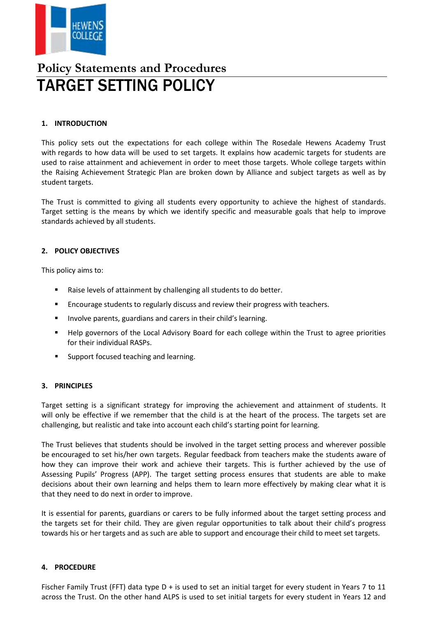

# **Policy Statements and Procedures** TARGET SETTING POLICY

## **1. INTRODUCTION**

This policy sets out the expectations for each college within The Rosedale Hewens Academy Trust with regards to how data will be used to set targets. It explains how academic targets for students are used to raise attainment and achievement in order to meet those targets. Whole college targets within the Raising Achievement Strategic Plan are broken down by Alliance and subject targets as well as by student targets.

The Trust is committed to giving all students every opportunity to achieve the highest of standards. Target setting is the means by which we identify specific and measurable goals that help to improve standards achieved by all students.

## **2. POLICY OBJECTIVES**

This policy aims to:

- Raise levels of attainment by challenging all students to do better.
- **Encourage students to regularly discuss and review their progress with teachers.**
- **IDED** Involve parents, guardians and carers in their child's learning.
- Help governors of the Local Advisory Board for each college within the Trust to agree priorities for their individual RASPs.
- Support focused teaching and learning.

#### **3. PRINCIPLES**

Target setting is a significant strategy for improving the achievement and attainment of students. It will only be effective if we remember that the child is at the heart of the process. The targets set are challenging, but realistic and take into account each child's starting point for learning.

The Trust believes that students should be involved in the target setting process and wherever possible be encouraged to set his/her own targets. Regular feedback from teachers make the students aware of how they can improve their work and achieve their targets. This is further achieved by the use of Assessing Pupils' Progress (APP). The target setting process ensures that students are able to make decisions about their own learning and helps them to learn more effectively by making clear what it is that they need to do next in order to improve.

It is essential for parents, guardians or carers to be fully informed about the target setting process and the targets set for their child. They are given regular opportunities to talk about their child's progress towards his or her targets and as such are able to support and encourage their child to meet set targets.

#### **4. PROCEDURE**

Fischer Family Trust (FFT) data type D + is used to set an initial target for every student in Years 7 to 11 across the Trust. On the other hand ALPS is used to set initial targets for every student in Years 12 and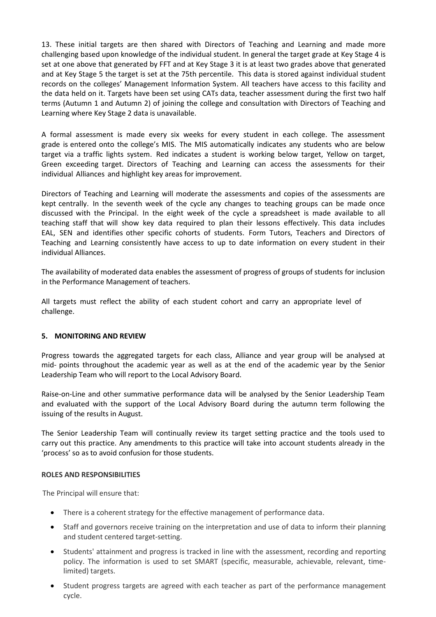13. These initial targets are then shared with Directors of Teaching and Learning and made more challenging based upon knowledge of the individual student. In general the target grade at Key Stage 4 is set at one above that generated by FFT and at Key Stage 3 it is at least two grades above that generated and at Key Stage 5 the target is set at the 75th percentile. This data is stored against individual student records on the colleges' Management Information System. All teachers have access to this facility and the data held on it. Targets have been set using CATs data, teacher assessment during the first two half terms (Autumn 1 and Autumn 2) of joining the college and consultation with Directors of Teaching and Learning where Key Stage 2 data is unavailable.

A formal assessment is made every six weeks for every student in each college. The assessment grade is entered onto the college's MIS. The MIS automatically indicates any students who are below target via a traffic lights system. Red indicates a student is working below target, Yellow on target, Green exceeding target. Directors of Teaching and Learning can access the assessments for their individual Alliances and highlight key areas for improvement.

Directors of Teaching and Learning will moderate the assessments and copies of the assessments are kept centrally. In the seventh week of the cycle any changes to teaching groups can be made once discussed with the Principal. In the eight week of the cycle a spreadsheet is made available to all teaching staff that will show key data required to plan their lessons effectively. This data includes EAL, SEN and identifies other specific cohorts of students. Form Tutors, Teachers and Directors of Teaching and Learning consistently have access to up to date information on every student in their individual Alliances.

The availability of moderated data enables the assessment of progress of groups of students for inclusion in the Performance Management of teachers.

All targets must reflect the ability of each student cohort and carry an appropriate level of challenge.

#### **5. MONITORING AND REVIEW**

Progress towards the aggregated targets for each class, Alliance and year group will be analysed at mid- points throughout the academic year as well as at the end of the academic year by the Senior Leadership Team who will report to the Local Advisory Board.

Raise-on-Line and other summative performance data will be analysed by the Senior Leadership Team and evaluated with the support of the Local Advisory Board during the autumn term following the issuing of the results in August.

The Senior Leadership Team will continually review its target setting practice and the tools used to carry out this practice. Any amendments to this practice will take into account students already in the 'process' so as to avoid confusion for those students.

#### **ROLES AND RESPONSIBILITIES**

The Principal will ensure that:

- There is a coherent strategy for the effective management of performance data.
- Staff and governors receive training on the interpretation and use of data to inform their planning and student centered target-setting.
- Students' attainment and progress is tracked in line with the assessment, recording and reporting policy. The information is used to set SMART (specific, measurable, achievable, relevant, timelimited) targets.
- Student progress targets are agreed with each teacher as part of the performance management cycle.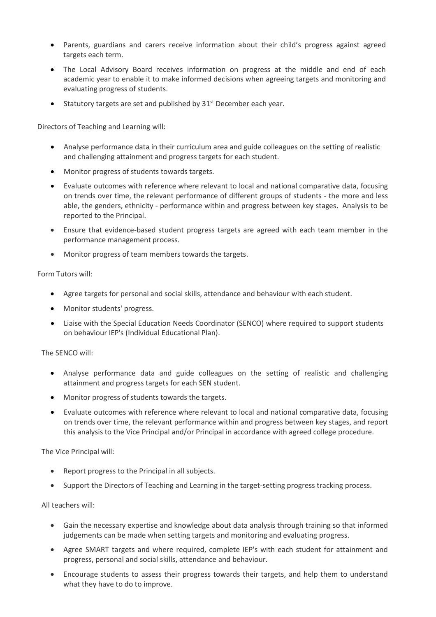- Parents, guardians and carers receive information about their child's progress against agreed targets each term.
- The Local Advisory Board receives information on progress at the middle and end of each academic year to enable it to make informed decisions when agreeing targets and monitoring and evaluating progress of students.
- Statutory targets are set and published by 31<sup>st</sup> December each year.

Directors of Teaching and Learning will:

- Analyse performance data in their curriculum area and guide colleagues on the setting of realistic and challenging attainment and progress targets for each student.
- Monitor progress of students towards targets.
- Evaluate outcomes with reference where relevant to local and national comparative data, focusing on trends over time, the relevant performance of different groups of students - the more and less able, the genders, ethnicity - performance within and progress between key stages. Analysis to be reported to the Principal.
- Ensure that evidence-based student progress targets are agreed with each team member in the performance management process.
- Monitor progress of team members towards the targets.

Form Tutors will:

- Agree targets for personal and social skills, attendance and behaviour with each student.
- Monitor students' progress.
- Liaise with the Special Education Needs Coordinator (SENCO) where required to support students on behaviour IEP's (Individual Educational Plan).

The SENCO will:

- Analyse performance data and guide colleagues on the setting of realistic and challenging attainment and progress targets for each SEN student.
- Monitor progress of students towards the targets.
- Evaluate outcomes with reference where relevant to local and national comparative data, focusing on trends over time, the relevant performance within and progress between key stages, and report this analysis to the Vice Principal and/or Principal in accordance with agreed college procedure.

The Vice Principal will:

- Report progress to the Principal in all subjects.
- Support the Directors of Teaching and Learning in the target-setting progress tracking process.

All teachers will:

- Gain the necessary expertise and knowledge about data analysis through training so that informed judgements can be made when setting targets and monitoring and evaluating progress.
- Agree SMART targets and where required, complete IEP's with each student for attainment and progress, personal and social skills, attendance and behaviour.
- Encourage students to assess their progress towards their targets, and help them to understand what they have to do to improve.